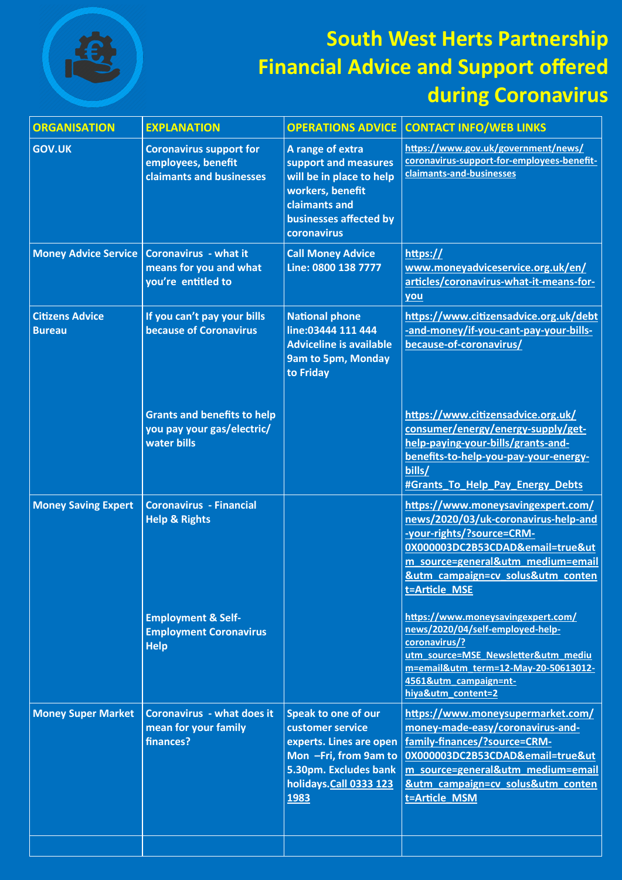

## **South West Herts Partnership Financial Advice and Support offered during Coronavirus**

| <b>ORGANISATION</b>                     | <b>EXPLANATION</b>                                                               | <b>OPERATIONS ADVICE</b>                                                                                                                                      | <b>CONTACT INFO/WEB LINKS</b>                                                                                                                                                                                                          |
|-----------------------------------------|----------------------------------------------------------------------------------|---------------------------------------------------------------------------------------------------------------------------------------------------------------|----------------------------------------------------------------------------------------------------------------------------------------------------------------------------------------------------------------------------------------|
| <b>GOV.UK</b>                           | <b>Coronavirus support for</b><br>employees, benefit<br>claimants and businesses | A range of extra<br>support and measures<br>will be in place to help<br>workers, benefit<br>claimants and<br>businesses affected by<br>coronavirus            | https://www.gov.uk/government/news/<br>coronavirus-support-for-employees-benefit-<br>claimants-and-businesses                                                                                                                          |
| <b>Money Advice Service</b>             | <b>Coronavirus - what it</b><br>means for you and what<br>you're entitled to     | <b>Call Money Advice</b><br>Line: 0800 138 7777                                                                                                               | https://<br>www.moneyadviceservice.org.uk/en/<br>articles/coronavirus-what-it-means-for-<br>you                                                                                                                                        |
| <b>Citizens Advice</b><br><b>Bureau</b> | If you can't pay your bills<br><b>because of Coronavirus</b>                     | <b>National phone</b><br>line:03444 111 444<br><b>Adviceline is available</b><br>9am to 5pm, Monday<br>to Friday                                              | https://www.citizensadvice.org.uk/debt<br>-and-money/if-you-cant-pay-your-bills-<br>because-of-coronavirus/                                                                                                                            |
|                                         | <b>Grants and benefits to help</b><br>you pay your gas/electric/<br>water bills  |                                                                                                                                                               | https://www.citizensadvice.org.uk/<br>consumer/energy/energy-supply/get-<br>help-paying-your-bills/grants-and-<br>benefits-to-help-you-pay-your-energy-<br>bills/<br>#Grants To Help Pay Energy Debts                                  |
| <b>Money Saving Expert</b>              | <b>Coronavirus - Financial</b><br><b>Help &amp; Rights</b>                       |                                                                                                                                                               | https://www.moneysavingexpert.com/<br>news/2020/03/uk-coronavirus-help-and<br>-your-rights/?source=CRM-<br>0X000003DC2B53CDAD&email=true&ut<br>m_source=general&utm_medium=email<br>&utm_campaign=cv_solus&utm_conten<br>t=Article MSE |
|                                         | <b>Employment &amp; Self-</b><br><b>Employment Coronavirus</b><br><b>Help</b>    |                                                                                                                                                               | https://www.moneysavingexpert.com/<br>news/2020/04/self-employed-help-<br>coronavirus/?<br>utm source=MSE Newsletter&utm mediu<br>m=email&utm_term=12-May-20-50613012-<br>4561&utm campaign=nt-<br>hiya&utm content=2                  |
| <b>Money Super Market</b>               | <b>Coronavirus - what does it</b><br>mean for your family<br>finances?           | <b>Speak to one of our</b><br>customer service<br>experts. Lines are open<br>Mon -Fri, from 9am to<br>5.30pm. Excludes bank<br>holidays.Call 0333 123<br>1983 | https://www.moneysupermarket.com/<br>money-made-easy/coronavirus-and-<br>family-finances/?source=CRM-<br>0X000003DC2B53CDAD&email=true&ut<br>m source=general&utm medium=email<br>&utm_campaign=cv_solus&utm_conten<br>t=Article_MSM   |
|                                         |                                                                                  |                                                                                                                                                               |                                                                                                                                                                                                                                        |